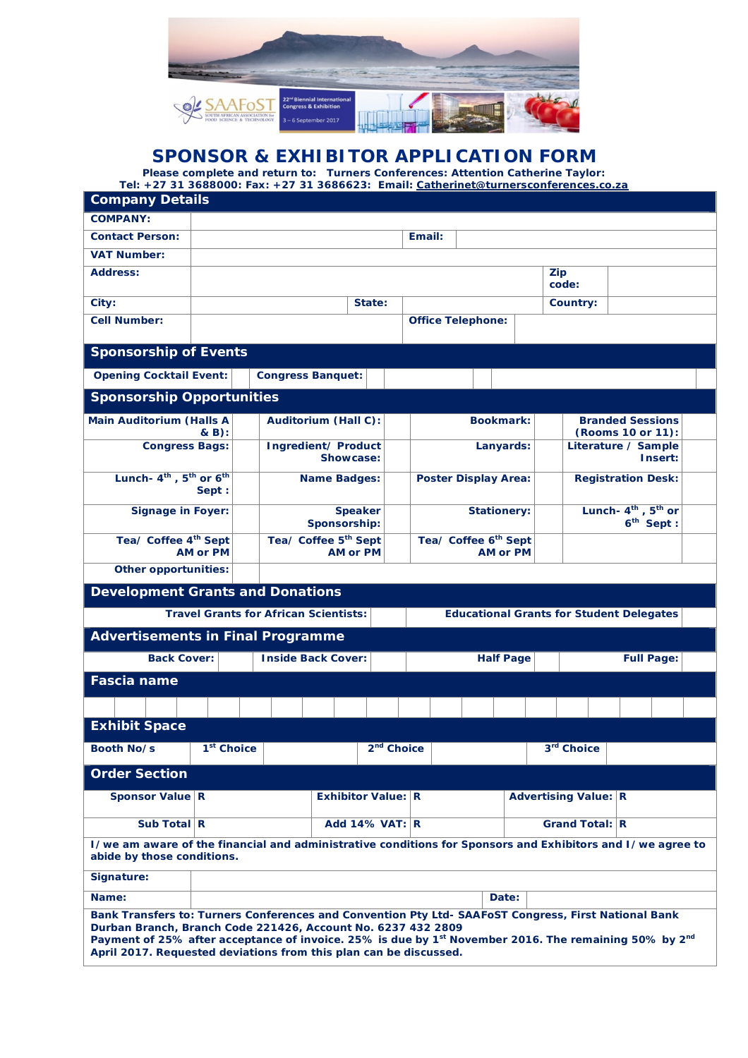

# **SPONSOR & EXHIBITOR APPLICATION FORM**

**Please complete and return to: Turners Conferences: Attention Catherine Taylor: Tel: +27 31 3688000: Fax: +27 31 3686623: Email: Catherinet@turnersconferences.co.za**

| <b>Company Details</b>                                                                                                                                                                                                                                                                                                                                                     |        |                                                     |                                  |                    |                                                     |              |       |                                                            |          |  |  |
|----------------------------------------------------------------------------------------------------------------------------------------------------------------------------------------------------------------------------------------------------------------------------------------------------------------------------------------------------------------------------|--------|-----------------------------------------------------|----------------------------------|--------------------|-----------------------------------------------------|--------------|-------|------------------------------------------------------------|----------|--|--|
| <b>COMPANY:</b>                                                                                                                                                                                                                                                                                                                                                            |        |                                                     |                                  |                    |                                                     |              |       |                                                            |          |  |  |
| <b>Contact Person:</b>                                                                                                                                                                                                                                                                                                                                                     | Email: |                                                     |                                  |                    |                                                     |              |       |                                                            |          |  |  |
| <b>VAT Number:</b>                                                                                                                                                                                                                                                                                                                                                         |        |                                                     |                                  |                    |                                                     |              |       |                                                            |          |  |  |
| <b>Address:</b>                                                                                                                                                                                                                                                                                                                                                            |        |                                                     |                                  |                    |                                                     | Zip<br>code: |       |                                                            |          |  |  |
| City:                                                                                                                                                                                                                                                                                                                                                                      |        |                                                     | State:                           |                    |                                                     |              |       |                                                            | Country: |  |  |
| <b>Cell Number:</b>                                                                                                                                                                                                                                                                                                                                                        |        |                                                     |                                  |                    | <b>Office Telephone:</b>                            |              |       |                                                            |          |  |  |
| <b>Sponsorship of Events</b>                                                                                                                                                                                                                                                                                                                                               |        |                                                     |                                  |                    |                                                     |              |       |                                                            |          |  |  |
| <b>Opening Cocktail Event:</b>                                                                                                                                                                                                                                                                                                                                             |        | <b>Congress Banquet:</b>                            |                                  |                    |                                                     |              |       |                                                            |          |  |  |
| <b>Sponsorship Opportunities</b>                                                                                                                                                                                                                                                                                                                                           |        |                                                     |                                  |                    |                                                     |              |       |                                                            |          |  |  |
| <b>Main Auditorium (Halls A</b><br>$\& B)$ :                                                                                                                                                                                                                                                                                                                               |        | Auditorium (Hall C):                                |                                  |                    | <b>Bookmark:</b>                                    |              |       | <b>Branded Sessions</b><br>(Rooms 10 or 11):               |          |  |  |
| <b>Congress Bags:</b>                                                                                                                                                                                                                                                                                                                                                      |        |                                                     | Ingredient/ Product<br>Showcase: |                    | Lanyards:                                           |              |       | Literature / Sample<br>Insert:                             |          |  |  |
| Lunch- $4^{th}$ , $5^{th}$ or $6^{th}$<br>Sept :                                                                                                                                                                                                                                                                                                                           |        |                                                     | <b>Name Badges:</b>              |                    | <b>Poster Display Area:</b>                         |              |       | <b>Registration Desk:</b>                                  |          |  |  |
| <b>Signage in Foyer:</b>                                                                                                                                                                                                                                                                                                                                                   |        | <b>Speaker</b><br>Sponsorship:                      |                                  |                    | <b>Stationery:</b>                                  |              |       | Lunch-4 <sup>th</sup> , 5 <sup>th</sup> or<br>$6th$ Sept : |          |  |  |
| Tea/ Coffee 4 <sup>th</sup> Sept<br><b>AM or PM</b>                                                                                                                                                                                                                                                                                                                        |        | Tea/ Coffee 5 <sup>th</sup> Sept<br><b>AM or PM</b> |                                  |                    | Tea/ Coffee 6 <sup>th</sup> Sept<br><b>AM or PM</b> |              |       |                                                            |          |  |  |
| <b>Other opportunities:</b>                                                                                                                                                                                                                                                                                                                                                |        |                                                     |                                  |                    |                                                     |              |       |                                                            |          |  |  |
| <b>Development Grants and Donations</b>                                                                                                                                                                                                                                                                                                                                    |        |                                                     |                                  |                    |                                                     |              |       |                                                            |          |  |  |
| <b>Travel Grants for African Scientists:</b><br><b>Educational Grants for Student Delegates</b>                                                                                                                                                                                                                                                                            |        |                                                     |                                  |                    |                                                     |              |       |                                                            |          |  |  |
| <b>Advertisements in Final Programme</b>                                                                                                                                                                                                                                                                                                                                   |        |                                                     |                                  |                    |                                                     |              |       |                                                            |          |  |  |
| <b>Back Cover:</b>                                                                                                                                                                                                                                                                                                                                                         |        | <b>Inside Back Cover:</b>                           |                                  |                    | <b>Half Page</b>                                    |              |       | <b>Full Page:</b>                                          |          |  |  |
| <b>Fascia name</b>                                                                                                                                                                                                                                                                                                                                                         |        |                                                     |                                  |                    |                                                     |              |       |                                                            |          |  |  |
|                                                                                                                                                                                                                                                                                                                                                                            |        |                                                     |                                  |                    |                                                     |              |       |                                                            |          |  |  |
| <b>Exhibit Space</b>                                                                                                                                                                                                                                                                                                                                                       |        |                                                     |                                  |                    |                                                     |              |       |                                                            |          |  |  |
| 1 <sup>st</sup> Choice<br>Booth No/s                                                                                                                                                                                                                                                                                                                                       |        | $2nd$ Choice                                        |                                  |                    |                                                     |              |       | $3rd$ Choice                                               |          |  |  |
| <b>Order Section</b>                                                                                                                                                                                                                                                                                                                                                       |        |                                                     |                                  |                    |                                                     |              |       |                                                            |          |  |  |
| Sponsor Value R                                                                                                                                                                                                                                                                                                                                                            |        |                                                     |                                  | Exhibitor Value: R |                                                     |              |       | <b>Advertising Value: R</b>                                |          |  |  |
| Sub Total $ R$                                                                                                                                                                                                                                                                                                                                                             |        |                                                     | Add 14% VAT: $\mathbf{R}$        |                    |                                                     |              |       | Grand Total: R                                             |          |  |  |
| I/we am aware of the financial and administrative conditions for Sponsors and Exhibitors and I/we agree to<br>abide by those conditions.                                                                                                                                                                                                                                   |        |                                                     |                                  |                    |                                                     |              |       |                                                            |          |  |  |
| Signature:                                                                                                                                                                                                                                                                                                                                                                 |        |                                                     |                                  |                    |                                                     |              |       |                                                            |          |  |  |
| Name:                                                                                                                                                                                                                                                                                                                                                                      |        |                                                     |                                  |                    |                                                     |              | Date: |                                                            |          |  |  |
| Bank Transfers to: Turners Conferences and Convention Pty Ltd- SAAFoST Congress, First National Bank<br>Durban Branch, Branch Code 221426, Account No. 6237 432 2809<br>Payment of 25% after acceptance of invoice. 25% is due by 1 <sup>st</sup> November 2016. The remaining 50% by 2 <sup>nd</sup><br>April 2017. Requested deviations from this plan can be discussed. |        |                                                     |                                  |                    |                                                     |              |       |                                                            |          |  |  |